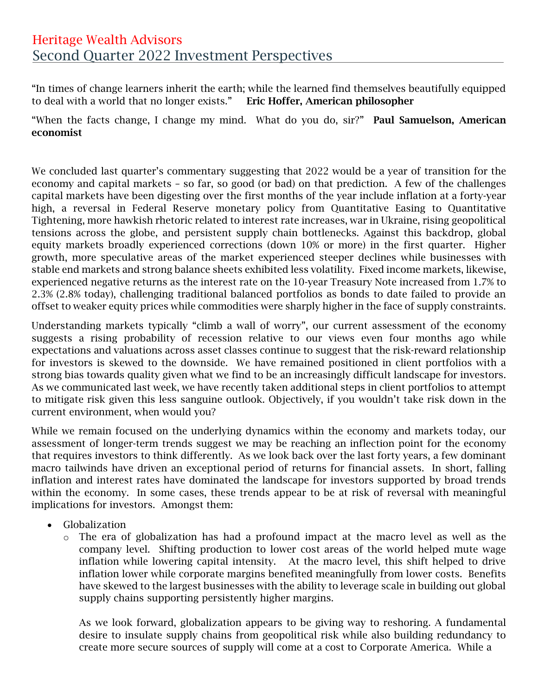## Heritage Wealth Advisors Second Quarter 2022 Investment Perspectives .

"In times of change learners inherit the earth; while the learned find themselves beautifully equipped to deal with a world that no longer exists." Eric Hoffer, American philosopher

"When the facts change, I change my mind. What do you do, sir?" Paul Samuelson, American economist

We concluded last quarter's commentary suggesting that 2022 would be a year of transition for the economy and capital markets – so far, so good (or bad) on that prediction. A few of the challenges capital markets have been digesting over the first months of the year include inflation at a forty-year high, a reversal in Federal Reserve monetary policy from Quantitative Easing to Quantitative Tightening, more hawkish rhetoric related to interest rate increases, war in Ukraine, rising geopolitical tensions across the globe, and persistent supply chain bottlenecks. Against this backdrop, global equity markets broadly experienced corrections (down 10% or more) in the first quarter. Higher growth, more speculative areas of the market experienced steeper declines while businesses with stable end markets and strong balance sheets exhibited less volatility. Fixed income markets, likewise, experienced negative returns as the interest rate on the 10-year Treasury Note increased from 1.7% to 2.3% (2.8% today), challenging traditional balanced portfolios as bonds to date failed to provide an offset to weaker equity prices while commodities were sharply higher in the face of supply constraints.

Understanding markets typically "climb a wall of worry", our current assessment of the economy suggests a rising probability of recession relative to our views even four months ago while expectations and valuations across asset classes continue to suggest that the risk-reward relationship for investors is skewed to the downside. We have remained positioned in client portfolios with a strong bias towards quality given what we find to be an increasingly difficult landscape for investors. As we communicated last week, we have recently taken additional steps in client portfolios to attempt to mitigate risk given this less sanguine outlook. Objectively, if you wouldn't take risk down in the current environment, when would you?

While we remain focused on the underlying dynamics within the economy and markets today, our assessment of longer-term trends suggest we may be reaching an inflection point for the economy that requires investors to think differently. As we look back over the last forty years, a few dominant macro tailwinds have driven an exceptional period of returns for financial assets. In short, falling inflation and interest rates have dominated the landscape for investors supported by broad trends within the economy. In some cases, these trends appear to be at risk of reversal with meaningful implications for investors. Amongst them:

- Globalization
	- o The era of globalization has had a profound impact at the macro level as well as the company level. Shifting production to lower cost areas of the world helped mute wage inflation while lowering capital intensity. At the macro level, this shift helped to drive inflation lower while corporate margins benefited meaningfully from lower costs. Benefits have skewed to the largest businesses with the ability to leverage scale in building out global supply chains supporting persistently higher margins.

As we look forward, globalization appears to be giving way to reshoring. A fundamental desire to insulate supply chains from geopolitical risk while also building redundancy to create more secure sources of supply will come at a cost to Corporate America. While a